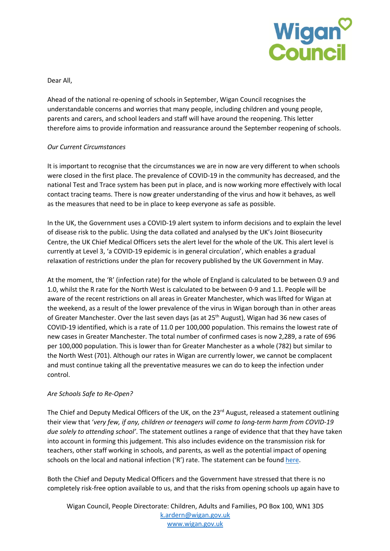

Dear All,

Ahead of the national re-opening of schools in September, Wigan Council recognises the understandable concerns and worries that many people, including children and young people, parents and carers, and school leaders and staff will have around the reopening. This letter therefore aims to provide information and reassurance around the September reopening of schools.

### *Our Current Circumstances*

It is important to recognise that the circumstances we are in now are very different to when schools were closed in the first place. The prevalence of COVID-19 in the community has decreased, and the national Test and Trace system has been put in place, and is now working more effectively with local contact tracing teams. There is now greater understanding of the virus and how it behaves, as well as the measures that need to be in place to keep everyone as safe as possible.

In the UK, the Government uses a COVID-19 alert system to inform decisions and to explain the level of disease risk to the public. Using the data collated and analysed by the UK's Joint Biosecurity Centre, the UK Chief Medical Officers sets the alert level for the whole of the UK. This alert level is currently at Level 3, 'a COVID-19 epidemic is in general circulation', which enables a gradual relaxation of restrictions under the plan for recovery published by the UK Government in May.

At the moment, the 'R' (infection rate) for the whole of England is calculated to be between 0.9 and 1.0, whilst the R rate for the North West is calculated to be between 0-9 and 1.1. People will be aware of the recent restrictions on all areas in Greater Manchester, which was lifted for Wigan at the weekend, as a result of the lower prevalence of the virus in Wigan borough than in other areas of Greater Manchester. Over the last seven days (as at 25<sup>th</sup> August), Wigan had 36 new cases of COVID-19 identified, which is a rate of 11.0 per 100,000 population. This remains the lowest rate of new cases in Greater Manchester. The total number of confirmed cases is now 2,289, a rate of 696 per 100,000 population. This is lower than for Greater Manchester as a whole (782) but similar to the North West (701). Although our rates in Wigan are currently lower, we cannot be complacent and must continue taking all the preventative measures we can do to keep the infection under control.

#### *Are Schools Safe to Re-Open?*

The Chief and Deputy Medical Officers of the UK, on the 23<sup>rd</sup> August, released a statement outlining their view that '*very few, if any, children or teenagers will come to long-term harm from COVID-19 due solely to attending school'*. The statement outlines a range of evidence that that they have taken into account in forming this judgement. This also includes evidence on the transmission risk for teachers, other staff working in schools, and parents, as well as the potential impact of opening schools on the local and national infection ('R') rate. The statement can be found here.

Both the Chief and Deputy Medical Officers and the Government have stressed that there is no completely risk-free option available to us, and that the risks from opening schools up again have to

Wigan Council, People Directorate: Children, Adults and Families, PO Box 100, WN1 3DS k.ardern@wigan.gov.uk www.wigan.gov.uk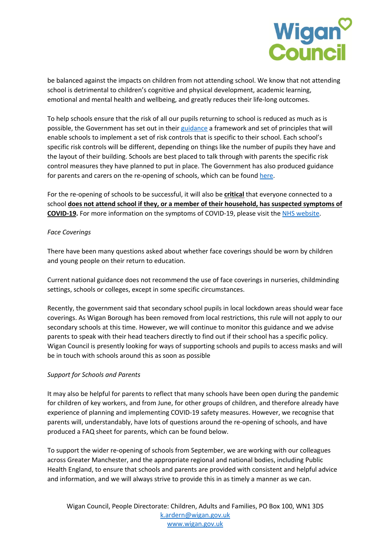

be balanced against the impacts on children from not attending school. We know that not attending school is detrimental to children's cognitive and physical development, academic learning, emotional and mental health and wellbeing, and greatly reduces their life-long outcomes.

To help schools ensure that the risk of all our pupils returning to school is reduced as much as is possible, the Government has set out in their guidance a framework and set of principles that will enable schools to implement a set of risk controls that is specific to their school. Each school's specific risk controls will be different, depending on things like the number of pupils they have and the layout of their building. Schools are best placed to talk through with parents the specific risk control measures they have planned to put in place. The Government has also produced guidance for parents and carers on the re-opening of schools, which can be found here.

For the re-opening of schools to be successful, it will also be **critical** that everyone connected to a school **does not attend school if they, or a member of their household, has suspected symptoms of COVID-19.** For more information on the symptoms of COVID-19, please visit the NHS website.

### *Face Coverings*

There have been many questions asked about whether face coverings should be worn by children and young people on their return to education.

Current national guidance does not recommend the use of face coverings in nurseries, childminding settings, schools or colleges, except in some specific circumstances.

Recently, the government said that secondary school pupils in local lockdown areas should wear face coverings. As Wigan Borough has been removed from local restrictions, this rule will not apply to our secondary schools at this time. However, we will continue to monitor this guidance and we advise parents to speak with their head teachers directly to find out if their school has a specific policy. Wigan Council is presently looking for ways of supporting schools and pupils to access masks and will be in touch with schools around this as soon as possible

### *Support for Schools and Parents*

It may also be helpful for parents to reflect that many schools have been open during the pandemic for children of key workers, and from June, for other groups of children, and therefore already have experience of planning and implementing COVID-19 safety measures. However, we recognise that parents will, understandably, have lots of questions around the re-opening of schools, and have produced a FAQ sheet for parents, which can be found below.

To support the wider re-opening of schools from September, we are working with our colleagues across Greater Manchester, and the appropriate regional and national bodies, including Public Health England, to ensure that schools and parents are provided with consistent and helpful advice and information, and we will always strive to provide this in as timely a manner as we can.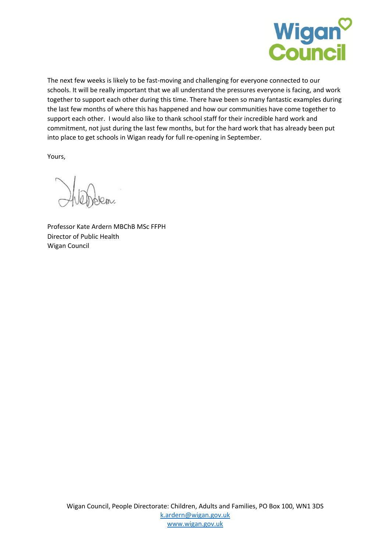

The next few weeks is likely to be fast-moving and challenging for everyone connected to our schools. It will be really important that we all understand the pressures everyone is facing, and work together to support each other during this time. There have been so many fantastic examples during the last few months of where this has happened and how our communities have come together to support each other. I would also like to thank school staff for their incredible hard work and commitment, not just during the last few months, but for the hard work that has already been put into place to get schools in Wigan ready for full re-opening in September.

Yours,

Professor Kate Ardern MBChB MSc FFPH Director of Public Health Wigan Council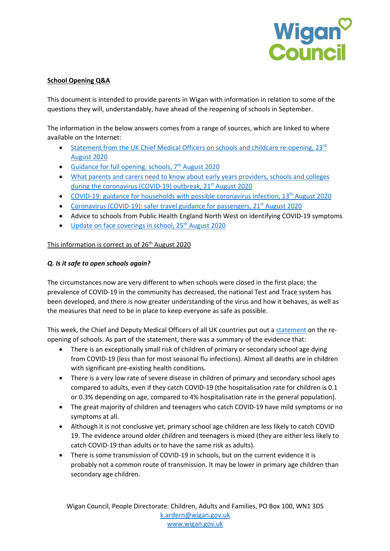

# **School Opening Q&A**

This document is intended to provide parents in Wigan with information in relation to some of the questions they will, understandably, have ahead of the reopening of schools in September.

The information in the below answers comes from a range of sources, which are linked to where available on the Internet:

- Statement from the UK Chief Medical Officers on schools and childcare re-opening,  $23^{rd}$ August 2020
- Guidance for full opening: schools,  $7<sup>th</sup>$  August 2020
- What parents and carers need to know about early years providers, schools and colleges during the coronavirus (COVID-19) outbreak, 21<sup>st</sup> August 2020
- COVID-19: guidance for households with possible coronavirus infection, 13th August 2020
- Coronavirus (COVID-19): safer travel guidance for passengers, 21<sup>st</sup> August 2020
- Advice to schools from Public Health England North West on identifying COVID-19 symptoms
- Update on face coverings in school, 25<sup>th</sup> August 2020

### This information is correct as of 26<sup>th</sup> August 2020

### *Q. Is it safe to open schools again?*

The circumstances now are very different to when schools were closed in the first place; the prevalence of COVID-19 in the community has decreased, the national Test and Trace system has been developed, and there is now greater understanding of the virus and how it behaves, as well as the measures that need to be in place to keep everyone as safe as possible.

This week, the Chief and Deputy Medical Officers of all UK countries put out a statement on the reopening of schools. As part of the statement, there was a summary of the evidence that:

- There is an exceptionally small risk of children of primary or secondary school age dying from COVID-19 (less than for most seasonal flu infections). Almost all deaths are in children with significant pre-existing health conditions.
- There is a very low rate of severe disease in children of primary and secondary school ages compared to adults, even if they catch COVID-19 (the hospitalisation rate for children is 0.1 or 0.3% depending on age, compared to 4% hospitalisation rate in the general population).
- The great majority of children and teenagers who catch COVID-19 have mild symptoms or no symptoms at all.
- Although it is not conclusive yet, primary school age children are less likely to catch COVID 19. The evidence around older children and teenagers is mixed (they are either less likely to catch COVID-19 than adults or to have the same risk as adults).
- There is some transmission of COVID-19 in schools, but on the current evidence it is probably not a common route of transmission. It may be lower in primary age children than secondary age children.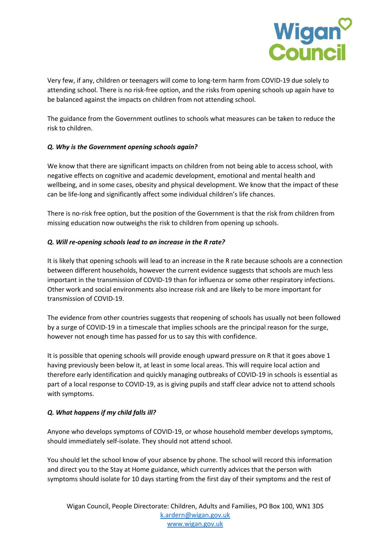

Very few, if any, children or teenagers will come to long-term harm from COVID-19 due solely to attending school. There is no risk-free option, and the risks from opening schools up again have to be balanced against the impacts on children from not attending school.

The guidance from the Government outlines to schools what measures can be taken to reduce the risk to children.

# *Q. Why is the Government opening schools again?*

We know that there are significant impacts on children from not being able to access school, with negative effects on cognitive and academic development, emotional and mental health and wellbeing, and in some cases, obesity and physical development. We know that the impact of these can be life-long and significantly affect some individual children's life chances.

There is no-risk free option, but the position of the Government is that the risk from children from missing education now outweighs the risk to children from opening up schools.

### *Q. Will re-opening schools lead to an increase in the R rate?*

It is likely that opening schools will lead to an increase in the R rate because schools are a connection between different households, however the current evidence suggests that schools are much less important in the transmission of COVID-19 than for influenza or some other respiratory infections. Other work and social environments also increase risk and are likely to be more important for transmission of COVID-19.

The evidence from other countries suggests that reopening of schools has usually not been followed by a surge of COVID-19 in a timescale that implies schools are the principal reason for the surge, however not enough time has passed for us to say this with confidence.

It is possible that opening schools will provide enough upward pressure on R that it goes above 1 having previously been below it, at least in some local areas. This will require local action and therefore early identification and quickly managing outbreaks of COVID-19 in schools is essential as part of a local response to COVID-19, as is giving pupils and staff clear advice not to attend schools with symptoms.

### *Q. What happens if my child falls ill?*

Anyone who develops symptoms of COVID-19, or whose household member develops symptoms, should immediately self-isolate. They should not attend school.

You should let the school know of your absence by phone. The school will record this information and direct you to the Stay at Home guidance, which currently advices that the person with symptoms should isolate for 10 days starting from the first day of their symptoms and the rest of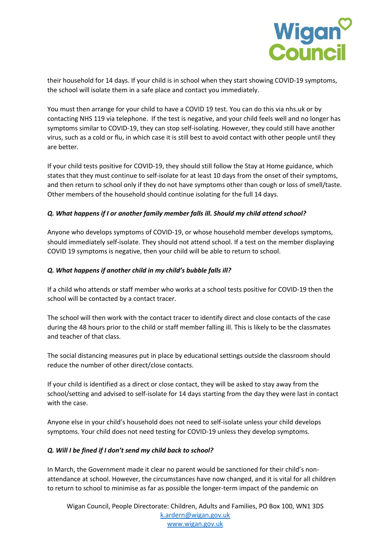

their household for 14 days. If your child is in school when they start showing COVID-19 symptoms, the school will isolate them in a safe place and contact you immediately.

You must then arrange for your child to have a COVID 19 test. You can do this via nhs.uk or by contacting NHS 119 via telephone. If the test is negative, and your child feels well and no longer has symptoms similar to COVID-19, they can stop self-isolating. However, they could still have another virus, such as a cold or flu, in which case it is still best to avoid contact with other people until they are better.

If your child tests positive for COVID-19, they should still follow the Stay at Home guidance, which states that they must continue to self-isolate for at least 10 days from the onset of their symptoms, and then return to school only if they do not have symptoms other than cough or loss of smell/taste. Other members of the household should continue isolating for the full 14 days.

### *Q. What happens if I or another family member falls ill. Should my child attend school?*

Anyone who develops symptoms of COVID-19, or whose household member develops symptoms, should immediately self-isolate. They should not attend school. If a test on the member displaying COVID 19 symptoms is negative, then your child will be able to return to school.

### *Q. What happens if another child in my child's bubble falls ill?*

If a child who attends or staff member who works at a school tests positive for COVID-19 then the school will be contacted by a contact tracer.

The school will then work with the contact tracer to identify direct and close contacts of the case during the 48 hours prior to the child or staff member falling ill. This is likely to be the classmates and teacher of that class.

The social distancing measures put in place by educational settings outside the classroom should reduce the number of other direct/close contacts.

If your child is identified as a direct or close contact, they will be asked to stay away from the school/setting and advised to self-isolate for 14 days starting from the day they were last in contact with the case.

Anyone else in your child's household does not need to self-isolate unless your child develops symptoms. Your child does not need testing for COVID-19 unless they develop symptoms.

#### *Q. Will I be fined if I don't send my child back to school?*

In March, the Government made it clear no parent would be sanctioned for their child's nonattendance at school. However, the circumstances have now changed, and it is vital for all children to return to school to minimise as far as possible the longer-term impact of the pandemic on

Wigan Council, People Directorate: Children, Adults and Families, PO Box 100, WN1 3DS k.ardern@wigan.gov.uk www.wigan.gov.uk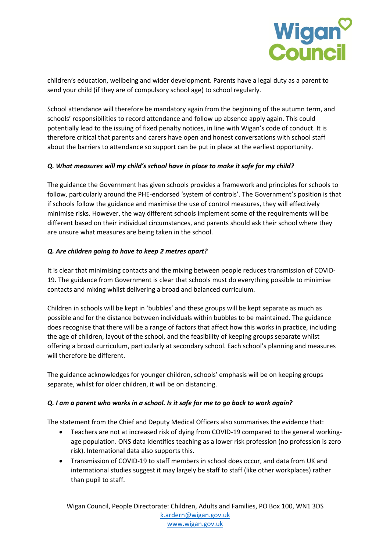

children's education, wellbeing and wider development. Parents have a legal duty as a parent to send your child (if they are of compulsory school age) to school regularly.

School attendance will therefore be mandatory again from the beginning of the autumn term, and schools' responsibilities to record attendance and follow up absence apply again. This could potentially lead to the issuing of fixed penalty notices, in line with Wigan's code of conduct. It is therefore critical that parents and carers have open and honest conversations with school staff about the barriers to attendance so support can be put in place at the earliest opportunity.

### *Q. What measures will my child's school have in place to make it safe for my child?*

The guidance the Government has given schools provides a framework and principles for schools to follow, particularly around the PHE-endorsed 'system of controls'. The Government's position is that if schools follow the guidance and maximise the use of control measures, they will effectively minimise risks. However, the way different schools implement some of the requirements will be different based on their individual circumstances, and parents should ask their school where they are unsure what measures are being taken in the school.

# *Q. Are children going to have to keep 2 metres apart?*

It is clear that minimising contacts and the mixing between people reduces transmission of COVID-19. The guidance from Government is clear that schools must do everything possible to minimise contacts and mixing whilst delivering a broad and balanced curriculum.

Children in schools will be kept in 'bubbles' and these groups will be kept separate as much as possible and for the distance between individuals within bubbles to be maintained. The guidance does recognise that there will be a range of factors that affect how this works in practice, including the age of children, layout of the school, and the feasibility of keeping groups separate whilst offering a broad curriculum, particularly at secondary school. Each school's planning and measures will therefore be different.

The guidance acknowledges for younger children, schools' emphasis will be on keeping groups separate, whilst for older children, it will be on distancing.

### *Q. I am a parent who works in a school. Is it safe for me to go back to work again?*

The statement from the Chief and Deputy Medical Officers also summarises the evidence that:

- Teachers are not at increased risk of dying from COVID-19 compared to the general workingage population. ONS data identifies teaching as a lower risk profession (no profession is zero risk). International data also supports this.
- Transmission of COVID-19 to staff members in school does occur, and data from UK and international studies suggest it may largely be staff to staff (like other workplaces) rather than pupil to staff.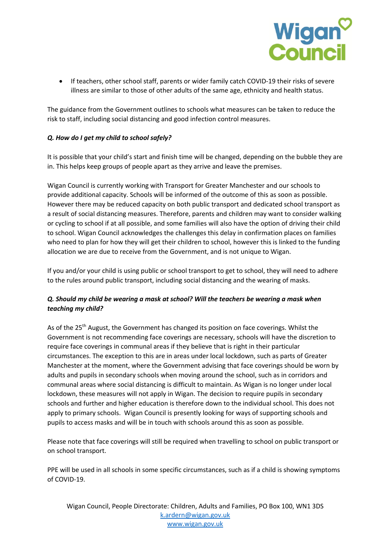

• If teachers, other school staff, parents or wider family catch COVID-19 their risks of severe illness are similar to those of other adults of the same age, ethnicity and health status.

The guidance from the Government outlines to schools what measures can be taken to reduce the risk to staff, including social distancing and good infection control measures.

### *Q. How do I get my child to school safely?*

It is possible that your child's start and finish time will be changed, depending on the bubble they are in. This helps keep groups of people apart as they arrive and leave the premises.

Wigan Council is currently working with Transport for Greater Manchester and our schools to provide additional capacity. Schools will be informed of the outcome of this as soon as possible. However there may be reduced capacity on both public transport and dedicated school transport as a result of social distancing measures. Therefore, parents and children may want to consider walking or cycling to school if at all possible, and some families will also have the option of driving their child to school. Wigan Council acknowledges the challenges this delay in confirmation places on families who need to plan for how they will get their children to school, however this is linked to the funding allocation we are due to receive from the Government, and is not unique to Wigan.

If you and/or your child is using public or school transport to get to school, they will need to adhere to the rules around public transport, including social distancing and the wearing of masks.

# *Q. Should my child be wearing a mask at school? Will the teachers be wearing a mask when teaching my child?*

As of the 25<sup>th</sup> August, the Government has changed its position on face coverings. Whilst the Government is not recommending face coverings are necessary, schools will have the discretion to require face coverings in communal areas if they believe that is right in their particular circumstances. The exception to this are in areas under local lockdown, such as parts of Greater Manchester at the moment, where the Government advising that face coverings should be worn by adults and pupils in secondary schools when moving around the school, such as in corridors and communal areas where social distancing is difficult to maintain. As Wigan is no longer under local lockdown, these measures will not apply in Wigan. The decision to require pupils in secondary schools and further and higher education is therefore down to the individual school. This does not apply to primary schools. Wigan Council is presently looking for ways of supporting schools and pupils to access masks and will be in touch with schools around this as soon as possible.

Please note that face coverings will still be required when travelling to school on public transport or on school transport.

PPE will be used in all schools in some specific circumstances, such as if a child is showing symptoms of COVID-19.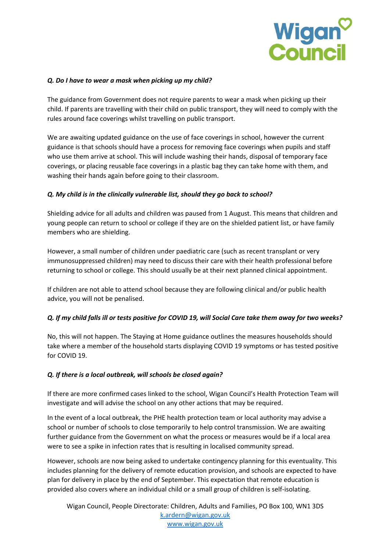

#### *Q. Do I have to wear a mask when picking up my child?*

The guidance from Government does not require parents to wear a mask when picking up their child. If parents are travelling with their child on public transport, they will need to comply with the rules around face coverings whilst travelling on public transport.

We are awaiting updated guidance on the use of face coverings in school, however the current guidance is that schools should have a process for removing face coverings when pupils and staff who use them arrive at school. This will include washing their hands, disposal of temporary face coverings, or placing reusable face coverings in a plastic bag they can take home with them, and washing their hands again before going to their classroom.

### *Q. My child is in the clinically vulnerable list, should they go back to school?*

Shielding advice for all adults and children was paused from 1 August. This means that children and young people can return to school or college if they are on the shielded patient list, or have family members who are shielding.

However, a small number of children under paediatric care (such as recent transplant or very immunosuppressed children) may need to discuss their care with their health professional before returning to school or college. This should usually be at their next planned clinical appointment.

If children are not able to attend school because they are following clinical and/or public health advice, you will not be penalised.

### *Q. If my child falls ill or tests positive for COVID 19, will Social Care take them away for two weeks?*

No, this will not happen. The Staying at Home guidance outlines the measures households should take where a member of the household starts displaying COVID 19 symptoms or has tested positive for COVID 19.

#### *Q. If there is a local outbreak, will schools be closed again?*

If there are more confirmed cases linked to the school, Wigan Council's Health Protection Team will investigate and will advise the school on any other actions that may be required.

In the event of a local outbreak, the PHE health protection team or local authority may advise a school or number of schools to close temporarily to help control transmission. We are awaiting further guidance from the Government on what the process or measures would be if a local area were to see a spike in infection rates that is resulting in localised community spread.

However, schools are now being asked to undertake contingency planning for this eventuality. This includes planning for the delivery of remote education provision, and schools are expected to have plan for delivery in place by the end of September. This expectation that remote education is provided also covers where an individual child or a small group of children is self-isolating.